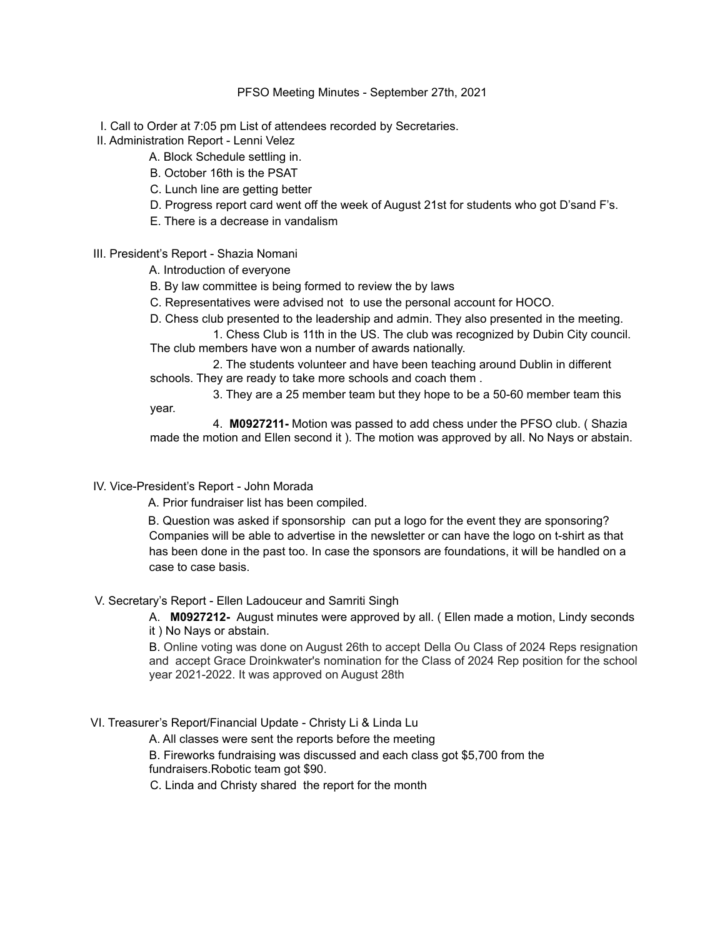#### PFSO Meeting Minutes - September 27th, 2021

I. Call to Order at 7:05 pm List of attendees recorded by Secretaries.

- II. Administration Report Lenni Velez
	- A. Block Schedule settling in.
	- B. October 16th is the PSAT
	- C. Lunch line are getting better
	- D. Progress report card went off the week of August 21st for students who got D'sand F's.
	- E. There is a decrease in vandalism

# III. President's Report - Shazia Nomani

- A. Introduction of everyone
- B. By law committee is being formed to review the by laws
- C. Representatives were advised not to use the personal account for HOCO.
- D. Chess club presented to the leadership and admin. They also presented in the meeting.

1. Chess Club is 11th in the US. The club was recognized by Dubin City council. The club members have won a number of awards nationally.

2. The students volunteer and have been teaching around Dublin in different schools. They are ready to take more schools and coach them .

3. They are a 25 member team but they hope to be a 50-60 member team this

year.

4. **M0927211-** Motion was passed to add chess under the PFSO club. ( Shazia made the motion and Ellen second it ). The motion was approved by all. No Nays or abstain.

IV. Vice-President's Report - John Morada

A. Prior fundraiser list has been compiled.

B. Question was asked if sponsorship can put a logo for the event they are sponsoring? Companies will be able to advertise in the newsletter or can have the logo on t-shirt as that has been done in the past too. In case the sponsors are foundations, it will be handled on a case to case basis.

# V. Secretary's Report - Ellen Ladouceur and Samriti Singh

A. **M0927212-** August minutes were approved by all. ( Ellen made a motion, Lindy seconds it ) No Nays or abstain.

B. Online voting was done on August 26th to accept Della Ou Class of 2024 Reps resignation and accept Grace Droinkwater's nomination for the Class of 2024 Rep position for the school year 2021-2022. It was approved on August 28th

# VI. Treasurer's Report/Financial Update - Christy Li & Linda Lu

A. All classes were sent the reports before the meeting

B. Fireworks fundraising was discussed and each class got \$5,700 from the fundraisers.Robotic team got \$90.

C. Linda and Christy shared the report for the month